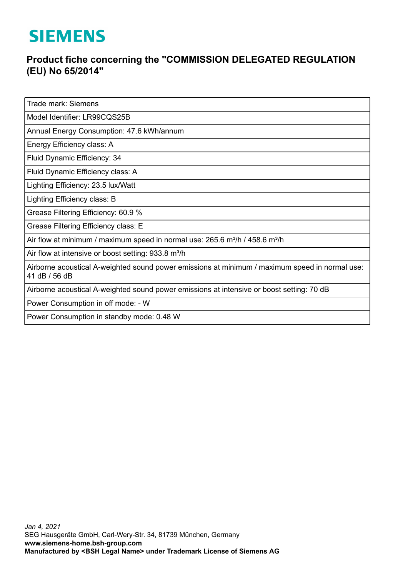## **SIEMENS**

## **Product fiche concerning the "COMMISSION DELEGATED REGULATION (EU) No 65/2014"**

Trade mark: Siemens

Model Identifier: LR99CQS25B

Annual Energy Consumption: 47.6 kWh/annum

Energy Efficiency class: A

Fluid Dynamic Efficiency: 34

Fluid Dynamic Efficiency class: A

Lighting Efficiency: 23.5 lux/Watt

Lighting Efficiency class: B

Grease Filtering Efficiency: 60.9 %

Grease Filtering Efficiency class: E

Air flow at minimum / maximum speed in normal use:  $265.6$  m<sup>3</sup>/h / 458.6 m<sup>3</sup>/h

Air flow at intensive or boost setting: 933.8 m<sup>3</sup>/h

Airborne acoustical A-weighted sound power emissions at minimum / maximum speed in normal use: 41 dB / 56 dB

Airborne acoustical A-weighted sound power emissions at intensive or boost setting: 70 dB

Power Consumption in off mode: - W

Power Consumption in standby mode: 0.48 W